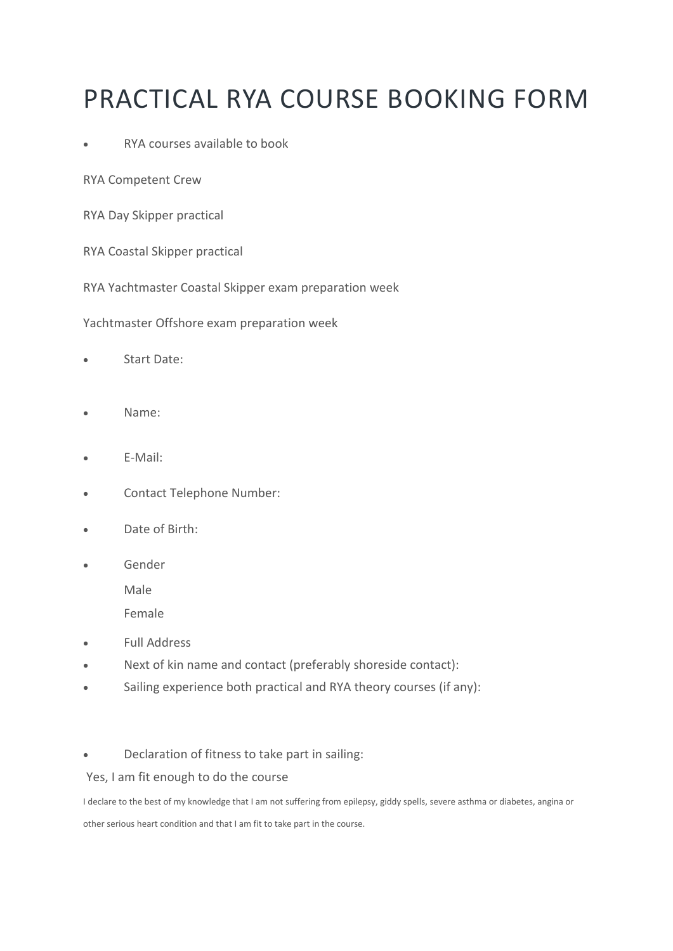# PRACTICAL RYA COURSE BOOKING FORM

### • RYA courses available to book

RYA Competent Crew

RYA Day Skipper practical

RYA Coastal Skipper practical

RYA Yachtmaster Coastal Skipper exam preparation week

Yachtmaster Offshore exam preparation week

- Start Date:
- Name:
- E-Mail:
- Contact Telephone Number:
- Date of Birth:
- Gender

Male

Female

- Full Address
- Next of kin name and contact (preferably shoreside contact):
- Sailing experience both practical and RYA theory courses (if any):

#### • Declaration of fitness to take part in sailing:

Yes, I am fit enough to do the course

I declare to the best of my knowledge that I am not suffering from epilepsy, giddy spells, severe asthma or diabetes, angina or

other serious heart condition and that I am fit to take part in the course.